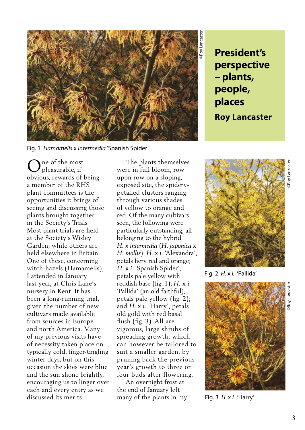

**perspective – plants, people, places Roy Lancaster**

Fig. 1 *Hamamelis* x *intermedia* 'Spanish Spider'

ne of the most pleasurable, if obvious, rewards of being a member of the RHS plant committees is the opportunities it brings of seeing and discussing those plants brought together in the Society's Trials. Most plant trials are held at the Society's Wisley Garden, while others are held elsewhere in Britain. One of these, concerning witch-hazels (Hamamelis), I attended in January last year, at Chris Lane's nursery in Kent. It has been a long-running trial, given the number of new cultivars made available from sources in Europe and north America. Many of my previous visits have of necessity taken place on typically cold, finger-tingling winter days, but on this occasion the skies were blue and the sun shone brightly, encouraging us to linger over each and every entry as we discussed its merits. O

 The plants themselves were in full bloom, row upon row on a sloping, exposed site, the spiderypetalled clusters ranging through various shades of yellow to orange and red. Of the many cultivars seen, the following were particularly outstanding, all belonging to the hybrid *H.* x *intermedia* (*H. japonica* x *H. mollis*): *H.* x *i.* 'Alexandra', petals fiery red and orange; *H.* x *i.* 'Spanish Spider', petals pale yellow with reddish base (fig. 1); *H.* x *i.*  'Pallida' (an old faithful), petals pale yellow (fig. 2); and *H.* x *i.* 'Harry', petals old gold with red basal flush (fig. 3). All are vigorous, large shrubs of spreading growth, which can however be tailored to suit a smaller garden, by pruning back the previous year's growth to three or four buds after flowering.

 An overnight frost at the end of January left many of the plants in my



Fig. 2 *H.* x *i.* 'Pallida'



Fig. 3 *H.* x *i.* 'Harry'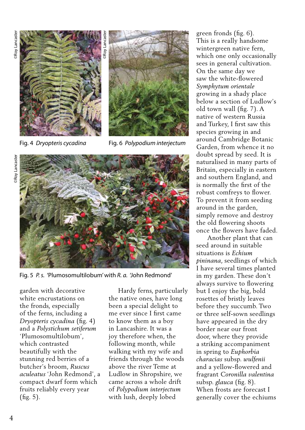

Fig. 4 *Dryopteris cycadina*



Fig. 6 *Polypodium interjectum*



garden with decorative white encrustations on the fronds, especially of the ferns, including a *Dryopteris cycadina* (fig. 4) and a *Polystichum setiferum* 'Plumosomultilobum', which contrasted beautifully with the stunning red berries of a butcher's broom, *Ruscus aculeatus* 'John Redmond', a compact dwarf form which fruits reliably every year (fig. 5).

 Hardy ferns, particularly the native ones, have long been a special delight to me ever since I first came to know them as a boy in Lancashire. It was a joy therefore when, the following month, while walking with my wife and friends through the woods above the river Teme at Ludlow in Shropshire, we came across a whole drift of *Polypodium interjectum* with lush, deeply lobed

green fronds (fig. 6). This is a really handsome wintergreen native fern, which one only occasionally sees in general cultivation. On the same day we saw the white-flowered *Symphytum orientale*  growing in a shady place below a section of Ludlow's old town wall (fig. 7). A native of western Russia and Turkey, I first saw this species growing in and around Cambridge Botanic Garden, from whence it no doubt spread by seed. It is naturalised in many parts of Britain, especially in eastern and southern England, and is normally the first of the robust comfreys to flower. To prevent it from seeding around in the garden, simply remove and destroy the old flowering shoots once the flowers have faded.

 Another plant that can seed around in suitable situations is *Echium pininana*, seedlings of which I have several times planted in my garden. These don't always survive to flowering but I enjoy the big, bold rosettes of bristly leaves before they succumb. Two or three self-sown seedlings have appeared in the dry border near our front door, where they provide a striking accompaniment in spring to *Euphorbia characias* subsp. *wulfenii* and a yellow-flowered and fragrant *Coronilla valentina*  subsp. *glauca* (fig. 8). When frosts are forecast I generally cover the echiums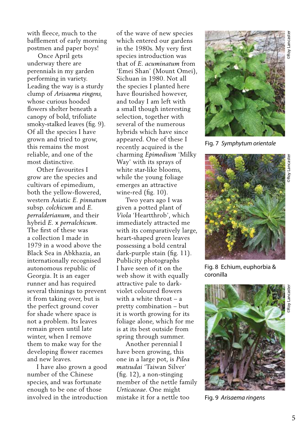with fleece, much to the bafflement of early morning postmen and paper boys!

 Once April gets underway there are perennials in my garden performing in variety. Leading the way is a sturdy clump of *Arisaema ringens,* whose curious hooded flowers shelter beneath a canopy of bold, trifoliate smoky-stalked leaves (fig. 9). Of all the species I have grown and tried to grow, this remains the most reliable, and one of the most distinctive.

 Other favourites I grow are the species and cultivars of epimedium, both the yellow-flowered, western Asiatic *E. pinnatum* subsp. *colchicum* and *E. perralderianum*, and their hybrid *E.* x *perralchicum*. The first of these was a collection I made in 1979 in a wood above the Black Sea in Abkhazia, an internationally recognised autonomous republic of Georgia. It is an eager runner and has required several thinnings to prevent it from taking over, but is the perfect ground cover for shade where space is not a problem. Its leaves remain green until late winter, when I remove them to make way for the developing flower racemes and new leaves.

 I have also grown a good number of the Chinese species, and was fortunate enough to be one of those involved in the introduction of the wave of new species which entered our gardens in the 1980s. My very first species introduction was that of *E. acuminatum* from 'Emei Shan' (Mount Omei), Sichuan in 1980. Not all the species I planted here have flourished however, and today I am left with a small though interesting selection, together with several of the numerous hybrids which have since appeared. One of these I recently acquired is the charming *Epimedium* 'Milky Way' with its sprays of white star-like blooms, while the young foliage emerges an attractive wine-red (fig. 10).

 Two years ago I was given a potted plant of *Viola* 'Heartthrob', which immediately attracted me with its comparatively large, heart-shaped green leaves possessing a bold central dark-purple stain (fig. 11). Publicity photographs I have seen of it on the web show it with equally attractive pale to darkviolet coloured flowers with a white throat – a pretty combination – but it is worth growing for its foliage alone, which for me is at its best outside from spring through summer.

 Another perennial I have been growing, this one in a large pot, is *Pilea matsudai* 'Taiwan Silver' (fig. 12), a non-stinging member of the nettle family *Urticaceae*. One might mistake it for a nettle too



Fig. 7 *Symphytum orientale*



Fig. 8 Echium, euphorbia &

coronilla



Fig. 9 *Arisaema ringens*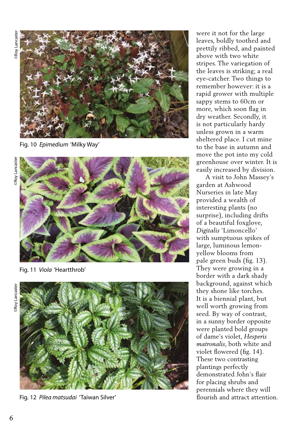

Fig. 10 *Epimedium* 'Milky Way'



Fig. 11 *Viola* 'Heartthrob'



Fig. 12 *Pilea matsudai* 'Taiwan Silver'

were it not for the large leaves, boldly toothed and prettily ribbed, and painted above with two white stripes. The variegation of the leaves is striking; a real eye-catcher. Two things to remember however: it is a rapid grower with multiple sappy stems to 60cm or more, which soon flag in dry weather. Secondly, it is not particularly hardy unless grown in a warm sheltered place. I cut mine to the base in autumn and move the pot into my cold greenhouse over winter. It is easily increased by division.

 A visit to John Massey's garden at Ashwood Nurseries in late May provided a wealth of interesting plants (no surprise), including drifts of a beautiful foxglove, *Digitalis* 'Limoncello' with sumptuous spikes of large, luminous lemonyellow blooms from pale green buds (fig. 13). They were growing in a border with a dark shady background, against which they shone like torches. It is a biennial plant, but well worth growing from seed. By way of contrast, in a sunny border opposite were planted bold groups of dame's violet, *Hesperis matronalis*, both white and violet flowered (fig. 14). These two contrasting plantings perfectly demonstrated John's flair for placing shrubs and perennials where they will flourish and attract attention.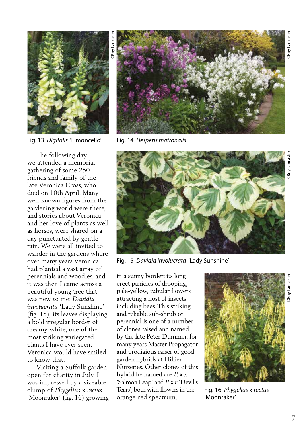

Fig. 13 *Digitalis* 'Limoncello'

 The following day we attended a memorial gathering of some 250 friends and family of the late Veronica Cross, who died on 10th April. Many well-known figures from the gardening world were there, and stories about Veronica and her love of plants as well as horses, were shared on a day punctuated by gentle rain. We were all invited to wander in the gardens where over many years Veronica had planted a vast array of perennials and woodies, and it was then I came across a beautiful young tree that was new to me: *Davidia involucrata* 'Lady Sunshine' (fig. 15), its leaves displaying a bold irregular border of creamy-white; one of the most striking variegated plants I have ever seen. Veronica would have smiled to know that.

 Visiting a Suffolk garden open for charity in July, I was impressed by a sizeable clump of *Phygelius* x *rectus*  'Moonraker' (fig. 16) growing



Fig. 14 *Hesperis matronalis*



Fig. 15 *Davidia involucrata* 'Lady Sunshine'

in a sunny border: its long erect panicles of drooping, pale-yellow, tubular flowers attracting a host of insects including bees. This striking and reliable sub-shrub or perennial is one of a number of clones raised and named by the late Peter Dummer, for many years Master Propagator and prodigious raiser of good garden hybrids at Hillier Nurseries. Other clones of this hybrid he named are *P.* x *r.* 'Salmon Leap' and *P.* x *r.* 'Devil's Tears', both with flowers in the orange-red spectrum.



Fig. 16 *Phygelius* x *rectus*  'Moonraker'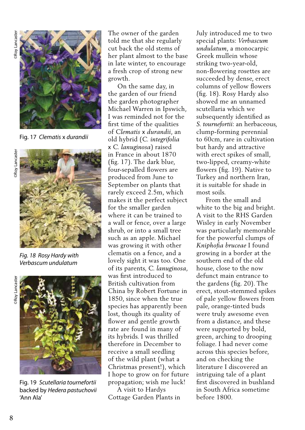

Fig. 17 *Clematis* x *durandii*



*Fig. 18 Rosy Hardy with Verbascum undulatum*



Fig. 19 *Scutellaria tournefortii*  backed by *Hedera pastuchovii*  'Ann Ala'

The owner of the garden told me that she regularly cut back the old stems of her plant almost to the base in late winter, to encourage a fresh crop of strong new growth.

 On the same day, in the garden of our friend the garden photographer Michael Warren in Ipswich, I was reminded not for the first time of the qualities of *Clematis* x *durandii*, an old hybrid (*C. integrifolia*  x *C. lanuginosa*) raised in France in about 1870 (fig. 17). The dark blue, four-sepalled flowers are produced from June to September on plants that rarely exceed 2.5m, which makes it the perfect subject for the smaller garden where it can be trained to a wall or fence, over a large shrub, or into a small tree such as an apple. Michael was growing it with other clematis on a fence, and a lovely sight it was too. One of its parents, *C. lanuginosa*, was first introduced to British cultivation from China by Robert Fortune in 1850, since when the true species has apparently been lost, though its quality of flower and gentle growth rate are found in many of its hybrids. I was thrilled therefore in December to receive a small seedling of the wild plant (what a Christmas present!), which I hope to grow on for future propagation; wish me luck! For example and the solution of the garden introduced me to two standards are the solution of the solution of the solution of the solution of the solution of the solution of the solution of the solution of the solution of

 A visit to Hardys Cottage Garden Plants in special plants: *Verbascum undulatum*, a monocarpic Greek mullein whose striking two-year-old, non-flowering rosettes are succeeded by dense, erect columns of yellow flowers (fig. 18). Rosy Hardy also showed me an unnamed scutellaria which we subsequently identified as *S. tournefortii*: an herbaceous, clump-forming perennial to 60cm, rare in cultivation but hardy and attractive with erect spikes of small, two-lipped, creamy-white flowers (fig. 19). Native to Turkey and northern Iran, it is suitable for shade in most soils.

 From the small and white to the big and bright. A visit to the RHS Garden Wisley in early November was particularly memorable for the powerful clumps of *Kniphofia bruceae* I found growing in a border at the southern end of the old house, close to the now defunct main entrance to the gardens (fig. 20). The erect, stout-stemmed spikes of pale yellow flowers from pale, orange-tinted buds were truly awesome even from a distance, and these were supported by bold, green, arching to drooping foliage. I had never come across this species before, and on checking the literature I discovered an intriguing tale of a plant first discovered in bushland in South Africa sometime before 1800.